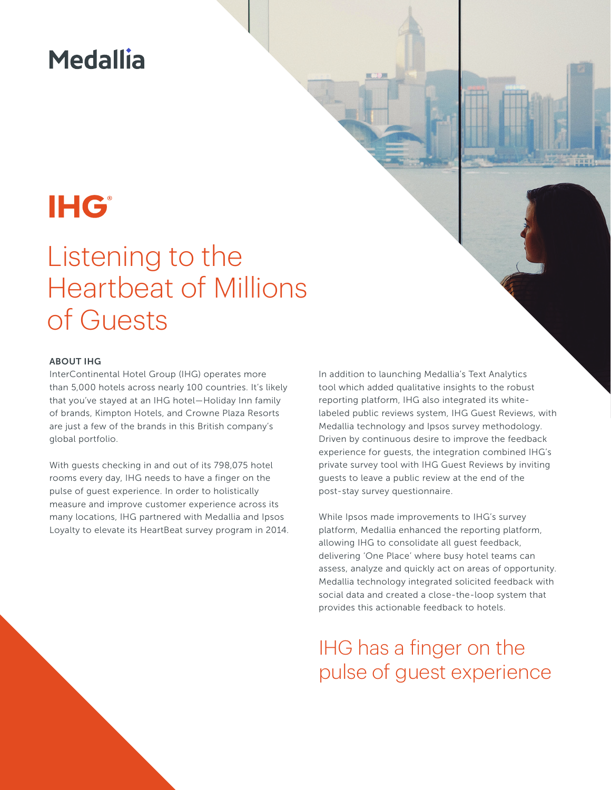### **Medallia**

# **IHG®**

## Listening to the Heartbeat of Millions of Guests

#### ABOUT IHG

InterContinental Hotel Group (IHG) operates more than 5,000 hotels across nearly 100 countries. It's likely that you've stayed at an IHG hotel—Holiday Inn family of brands, Kimpton Hotels, and Crowne Plaza Resorts are just a few of the brands in this British company's global portfolio.

With guests checking in and out of its 798,075 hotel rooms every day, IHG needs to have a finger on the pulse of guest experience. In order to holistically measure and improve customer experience across its many locations, IHG partnered with Medallia and Ipsos Loyalty to elevate its HeartBeat survey program in 2014. In addition to launching Medallia's Text Analytics tool which added qualitative insights to the robust reporting platform, IHG also integrated its whitelabeled public reviews system, IHG Guest Reviews, with Medallia technology and Ipsos survey methodology. Driven by continuous desire to improve the feedback experience for guests, the integration combined IHG's private survey tool with IHG Guest Reviews by inviting guests to leave a public review at the end of the post-stay survey questionnaire.

While Ipsos made improvements to IHG's survey platform, Medallia enhanced the reporting platform, allowing IHG to consolidate all guest feedback, delivering 'One Place' where busy hotel teams can assess, analyze and quickly act on areas of opportunity. Medallia technology integrated solicited feedback with social data and created a close-the-loop system that provides this actionable feedback to hotels.

IHG has a finger on the pulse of guest experience